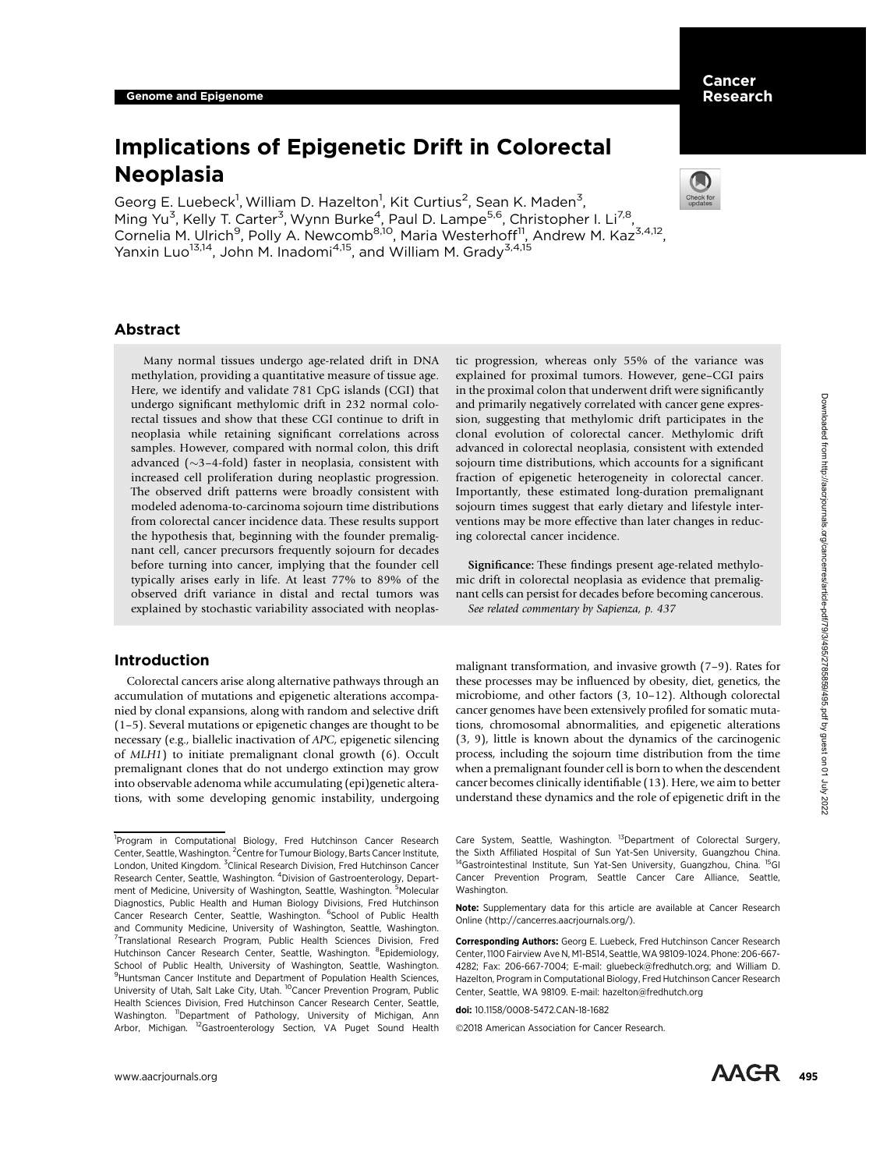# Implications of Epigenetic Drift in Colorectal Neoplasia

Georg E. Luebeck<sup>1</sup>, William D. Hazelton<sup>1</sup>, Kit Curtius<sup>2</sup>, Sean K. Maden<sup>3</sup>, Ming Yu<sup>3</sup>, Kelly T. Carter<sup>3</sup>, Wynn Burke<sup>4</sup>, Paul D. Lampe<sup>5,6</sup>, Christopher I. Li<sup>7,8</sup>, Cornelia M. Ulrich<sup>9</sup>, Polly A. Newcomb<sup>8,10</sup>, Maria Westerhoff<sup>11</sup>, Andrew M. Kaz<sup>3,4,12</sup>, Yanxin Luo<sup>13,14</sup>, John M. Inadomi<sup>4,15</sup>, and William M. Grady<sup>3,4,15</sup>



# Abstract

Many normal tissues undergo age-related drift in DNA methylation, providing a quantitative measure of tissue age. Here, we identify and validate 781 CpG islands (CGI) that undergo significant methylomic drift in 232 normal colorectal tissues and show that these CGI continue to drift in neoplasia while retaining significant correlations across samples. However, compared with normal colon, this drift advanced  $(\sim$ 3-4-fold) faster in neoplasia, consistent with increased cell proliferation during neoplastic progression. The observed drift patterns were broadly consistent with modeled adenoma-to-carcinoma sojourn time distributions from colorectal cancer incidence data. These results support the hypothesis that, beginning with the founder premalignant cell, cancer precursors frequently sojourn for decades before turning into cancer, implying that the founder cell typically arises early in life. At least 77% to 89% of the observed drift variance in distal and rectal tumors was explained by stochastic variability associated with neoplas-

# Introduction

Colorectal cancers arise along alternative pathways through an accumulation of mutations and epigenetic alterations accompanied by clonal expansions, along with random and selective drift (1–5). Several mutations or epigenetic changes are thought to be necessary (e.g., biallelic inactivation of APC, epigenetic silencing of MLH1) to initiate premalignant clonal growth (6). Occult premalignant clones that do not undergo extinction may grow into observable adenoma while accumulating (epi)genetic alterations, with some developing genomic instability, undergoing tic progression, whereas only 55% of the variance was explained for proximal tumors. However, gene–CGI pairs in the proximal colon that underwent drift were significantly and primarily negatively correlated with cancer gene expression, suggesting that methylomic drift participates in the clonal evolution of colorectal cancer. Methylomic drift advanced in colorectal neoplasia, consistent with extended sojourn time distributions, which accounts for a significant fraction of epigenetic heterogeneity in colorectal cancer. Importantly, these estimated long-duration premalignant sojourn times suggest that early dietary and lifestyle interventions may be more effective than later changes in reducing colorectal cancer incidence.

Significance: These findings present age-related methylomic drift in colorectal neoplasia as evidence that premalignant cells can persist for decades before becoming cancerous. See related commentary by Sapienza, p. 437

malignant transformation, and invasive growth (7–9). Rates for these processes may be influenced by obesity, diet, genetics, the microbiome, and other factors (3, 10–12). Although colorectal cancer genomes have been extensively profiled for somatic mutations, chromosomal abnormalities, and epigenetic alterations (3, 9), little is known about the dynamics of the carcinogenic process, including the sojourn time distribution from the time when a premalignant founder cell is born to when the descendent cancer becomes clinically identifiable (13). Here, we aim to better understand these dynamics and the role of epigenetic drift in the

Note: Supplementary data for this article are available at Cancer Research Online (http://cancerres.aacrjournals.org/).

Corresponding Authors: Georg E. Luebeck, Fred Hutchinson Cancer Research Center, 1100 Fairview Ave N, M1-B514, Seattle, WA 98109-1024. Phone: 206-667- 4282; Fax: 206-667-7004; E-mail: gluebeck@fredhutch.org; and William D. Hazelton, Program in Computational Biology, Fred Hutchinson Cancer Research Center, Seattle, WA 98109. E-mail: hazelton@fredhutch.org

doi: 10.1158/0008-5472.CAN-18-1682

2018 American Association for Cancer Research.

<sup>&</sup>lt;sup>1</sup>Program in Computational Biology, Fred Hutchinson Cancer Research Center, Seattle, Washington. <sup>2</sup> Centre for Tumour Biology, Barts Cancer Institute, London, United Kingdom. <sup>3</sup>Clinical Research Division, Fred Hutchinson Cancer Research Center, Seattle, Washington. <sup>4</sup>Division of Gastroenterology, Department of Medicine, University of Washington, Seattle, Washington. <sup>5</sup>Molecular Diagnostics, Public Health and Human Biology Divisions, Fred Hutchinson Cancer Research Center, Seattle, Washington. <sup>6</sup>School of Public Health and Community Medicine, University of Washington, Seattle, Washington. <sup>7</sup>Translational Research Program, Public Health Sciences Division, Fred Hutchinson Cancer Research Center, Seattle, Washington. <sup>8</sup>Epidemiology, School of Public Health, University of Washington, Seattle, Washington. <sup>9</sup> Huntsman Cancer Institute and Department of Population Health Sciences, University of Utah, Salt Lake City, Utah. <sup>10</sup>Cancer Prevention Program, Public Health Sciences Division, Fred Hutchinson Cancer Research Center, Seattle, Washington. 11Department of Pathology, University of Michigan, Ann Arbor, Michigan. <sup>12</sup>Gastroenterology Section, VA Puget Sound Health

Care System, Seattle, Washington. <sup>13</sup>Department of Colorectal Surgery, the Sixth Affiliated Hospital of Sun Yat-Sen University, Guangzhou China. <sup>14</sup>Gastrointestinal Institute, Sun Yat-Sen University, Guangzhou, China. Cancer Prevention Program, Seattle Cancer Care Alliance, Seattle, Washington.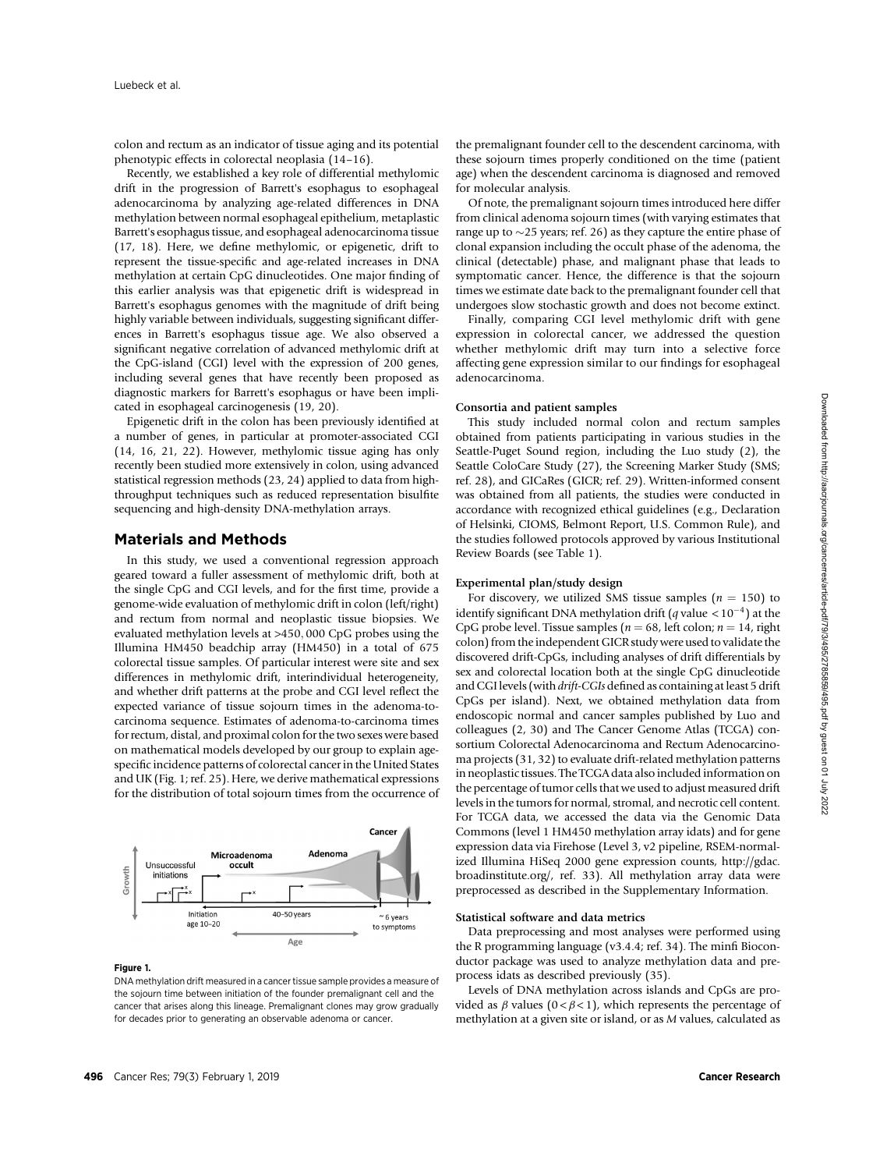colon and rectum as an indicator of tissue aging and its potential phenotypic effects in colorectal neoplasia (14–16).

Recently, we established a key role of differential methylomic drift in the progression of Barrett's esophagus to esophageal adenocarcinoma by analyzing age-related differences in DNA methylation between normal esophageal epithelium, metaplastic Barrett's esophagus tissue, and esophageal adenocarcinoma tissue (17, 18). Here, we define methylomic, or epigenetic, drift to represent the tissue-specific and age-related increases in DNA methylation at certain CpG dinucleotides. One major finding of this earlier analysis was that epigenetic drift is widespread in Barrett's esophagus genomes with the magnitude of drift being highly variable between individuals, suggesting significant differences in Barrett's esophagus tissue age. We also observed a significant negative correlation of advanced methylomic drift at the CpG-island (CGI) level with the expression of 200 genes, including several genes that have recently been proposed as diagnostic markers for Barrett's esophagus or have been implicated in esophageal carcinogenesis (19, 20).

Epigenetic drift in the colon has been previously identified at a number of genes, in particular at promoter-associated CGI (14, 16, 21, 22). However, methylomic tissue aging has only recently been studied more extensively in colon, using advanced statistical regression methods (23, 24) applied to data from highthroughput techniques such as reduced representation bisulfite sequencing and high-density DNA-methylation arrays.

# Materials and Methods

In this study, we used a conventional regression approach geared toward a fuller assessment of methylomic drift, both at the single CpG and CGI levels, and for the first time, provide a genome-wide evaluation of methylomic drift in colon (left/right) and rectum from normal and neoplastic tissue biopsies. We evaluated methylation levels at >450; 000 CpG probes using the Illumina HM450 beadchip array (HM450) in a total of 675 colorectal tissue samples. Of particular interest were site and sex differences in methylomic drift, interindividual heterogeneity, and whether drift patterns at the probe and CGI level reflect the expected variance of tissue sojourn times in the adenoma-tocarcinoma sequence. Estimates of adenoma-to-carcinoma times for rectum, distal, and proximal colon for the two sexes were based on mathematical models developed by our group to explain agespecific incidence patterns of colorectal cancer in the United States and UK (Fig. 1; ref. 25). Here, we derive mathematical expressions for the distribution of total sojourn times from the occurrence of



#### Figure 1.

DNA methylation drift measured in a cancer tissue sample provides a measure of the sojourn time between initiation of the founder premalignant cell and the cancer that arises along this lineage. Premalignant clones may grow gradually for decades prior to generating an observable adenoma or cancer.

the premalignant founder cell to the descendent carcinoma, with these sojourn times properly conditioned on the time (patient age) when the descendent carcinoma is diagnosed and removed for molecular analysis.

Of note, the premalignant sojourn times introduced here differ from clinical adenoma sojourn times (with varying estimates that range up to  $\sim$  25 years; ref. 26) as they capture the entire phase of clonal expansion including the occult phase of the adenoma, the clinical (detectable) phase, and malignant phase that leads to symptomatic cancer. Hence, the difference is that the sojourn times we estimate date back to the premalignant founder cell that undergoes slow stochastic growth and does not become extinct.

Finally, comparing CGI level methylomic drift with gene expression in colorectal cancer, we addressed the question whether methylomic drift may turn into a selective force affecting gene expression similar to our findings for esophageal adenocarcinoma.

#### Consortia and patient samples

This study included normal colon and rectum samples obtained from patients participating in various studies in the Seattle-Puget Sound region, including the Luo study (2), the Seattle ColoCare Study (27), the Screening Marker Study (SMS; ref. 28), and GICaRes (GICR; ref. 29). Written-informed consent was obtained from all patients, the studies were conducted in accordance with recognized ethical guidelines (e.g., Declaration of Helsinki, CIOMS, Belmont Report, U.S. Common Rule), and the studies followed protocols approved by various Institutional Review Boards (see Table 1).

# Experimental plan/study design

For discovery, we utilized SMS tissue samples ( $n = 150$ ) to identify significant DNA methylation drift (q value  $< 10^{-4}$ ) at the CpG probe level. Tissue samples ( $n = 68$ , left colon;  $n = 14$ , right colon) from the independent GICR study were used to validate the discovered drift-CpGs, including analyses of drift differentials by sex and colorectal location both at the single CpG dinucleotide and CGI levels (with drift-CGIs defined as containing at least 5 drift CpGs per island). Next, we obtained methylation data from endoscopic normal and cancer samples published by Luo and colleagues (2, 30) and The Cancer Genome Atlas (TCGA) consortium Colorectal Adenocarcinoma and Rectum Adenocarcinoma projects (31, 32) to evaluate drift-related methylation patterns in neoplastic tissues. The TCGA data also included information on the percentage of tumor cells that we used to adjust measured drift levels in the tumors for normal, stromal, and necrotic cell content. For TCGA data, we accessed the data via the Genomic Data Commons (level 1 HM450 methylation array idats) and for gene expression data via Firehose (Level 3, v2 pipeline, RSEM-normalized Illumina HiSeq 2000 gene expression counts, [http://gdac.](http://gdac.broadinstitute.org/) [broadinstitute.org/,](http://gdac.broadinstitute.org/) ref. 33). All methylation array data were preprocessed as described in the Supplementary Information.

## Statistical software and data metrics

Data preprocessing and most analyses were performed using the R programming language (v3.4.4; ref. 34). The minfi Bioconductor package was used to analyze methylation data and preprocess idats as described previously (35).

Levels of DNA methylation across islands and CpGs are provided as  $\beta$  values (0 <  $\beta$  < 1), which represents the percentage of methylation at a given site or island, or as M values, calculated as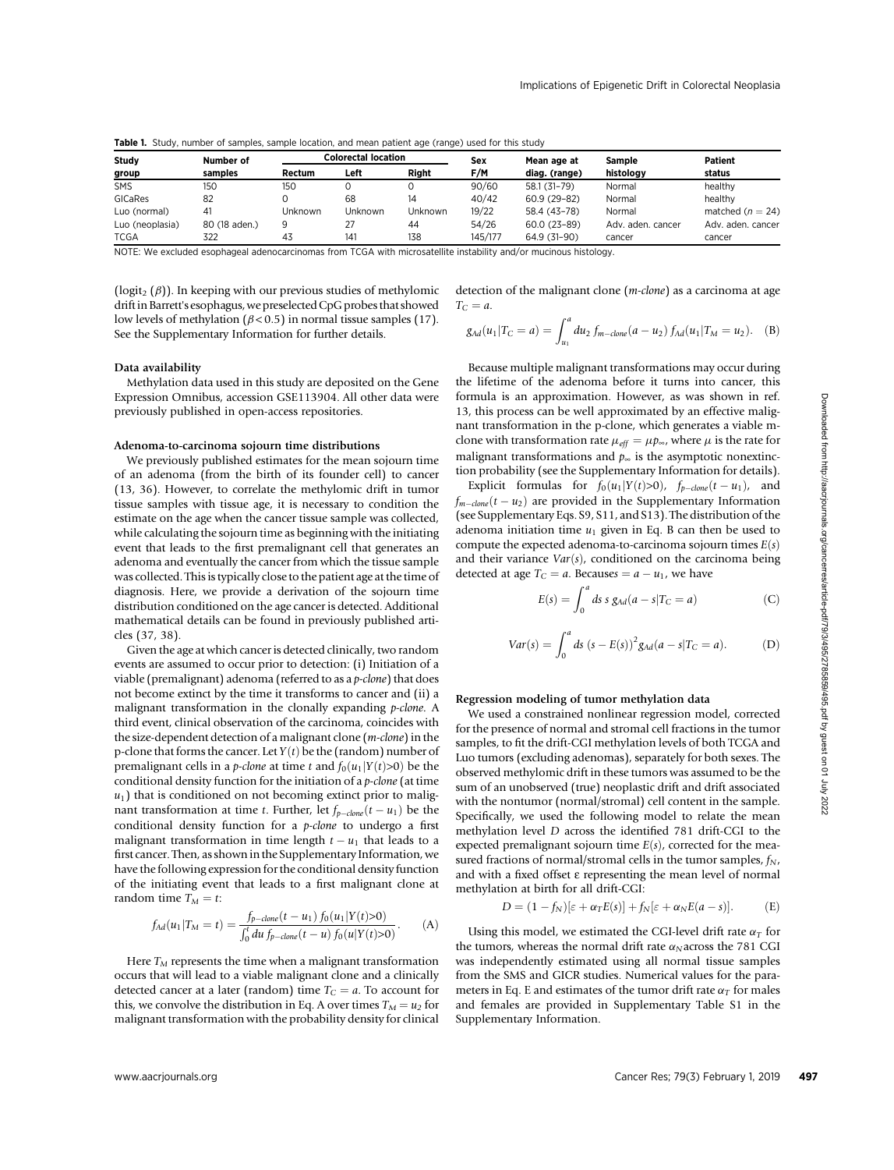**Table 1.** Study, number of samples, sample location, and mean patient age (range) used for this study

| Study<br>group  | Number of<br>samples | <b>Colorectal location</b> |         |         | Sex     | Mean age at   | Sample            | Patient              |
|-----------------|----------------------|----------------------------|---------|---------|---------|---------------|-------------------|----------------------|
|                 |                      | Rectum                     | Left    | Right   | F/M     | diag. (range) | histology         | status               |
| <b>SMS</b>      | 150                  | 150                        |         |         | 90/60   | 58.1 (31-79)  | Normal            | healthy              |
| GICaRes         | 82                   |                            | 68      | 14      | 40/42   | $60.9(29-82)$ | Normal            | healthy              |
| Luo (normal)    | 4                    | Unknown                    | Unknown | Unknown | 19/22   | 58.4 (43-78)  | Normal            | matched ( $n = 24$ ) |
| Luo (neoplasia) | 80 (18 aden.)        | 9                          | 27      | 44      | 54/26   | 60.0 (23-89)  | Adv. aden. cancer | Adv. aden. cancer    |
| TCGA            | 322                  | 43                         | 141     | 138     | 145/177 | 64.9 (31-90)  | cancer            | cancer               |

NOTE: We excluded esophageal adenocarcinomas from TCGA with microsatellite instability and/or mucinous histology.

(logit<sub>2</sub> ( $\beta$ )). In keeping with our previous studies of methylomic drift in Barrett's esophagus, we preselected CpG probes that showed low levels of methylation ( $\beta$  < 0.5) in normal tissue samples (17). See the Supplementary Information for further details.

#### Data availability

Methylation data used in this study are deposited on the Gene Expression Omnibus, accession GSE113904. All other data were previously published in open-access repositories.

## Adenoma-to-carcinoma sojourn time distributions

We previously published estimates for the mean sojourn time of an adenoma (from the birth of its founder cell) to cancer (13, 36). However, to correlate the methylomic drift in tumor tissue samples with tissue age, it is necessary to condition the estimate on the age when the cancer tissue sample was collected, while calculating the sojourn time as beginning with the initiating event that leads to the first premalignant cell that generates an adenoma and eventually the cancer from which the tissue sample was collected. This is typically close to the patient age at the time of diagnosis. Here, we provide a derivation of the sojourn time distribution conditioned on the age cancer is detected. Additional mathematical details can be found in previously published articles (37, 38).

Given the age at which cancer is detected clinically, two random events are assumed to occur prior to detection: (i) Initiation of a viable (premalignant) adenoma (referred to as a p-clone) that does not become extinct by the time it transforms to cancer and (ii) a malignant transformation in the clonally expanding p-clone. A third event, clinical observation of the carcinoma, coincides with the size-dependent detection of a malignant clone (m-clone) in the p-clone that forms the cancer. Let  $Y(t)$  be the (random) number of premalignant cells in a *p-clone* at time t and  $f_0(u_1|Y(t) > 0)$  be the conditional density function for the initiation of a p-clone (at time  $u_1$ ) that is conditioned on not becoming extinct prior to malignant transformation at time t. Further, let  $f_{p-clone}(t - u_1)$  be the conditional density function for a p-clone to undergo a first malignant transformation in time length  $t - u_1$  that leads to a first cancer. Then, as shown in the Supplementary Information, we have the following expression for the conditional density function of the initiating event that leads to a first malignant clone at random time  $T_M = t$ :

$$
f_{Ad}(u_1|T_M = t) = \frac{f_{p-clone}(t - u_1) f_0(u_1|Y(t) > 0)}{\int_0^t du f_{p-clone}(t - u) f_0(u|Y(t) > 0)}.
$$
 (A)

Here  $T_M$  represents the time when a malignant transformation occurs that will lead to a viable malignant clone and a clinically detected cancer at a later (random) time  $T_C = a$ . To account for this, we convolve the distribution in Eq. A over times  $T_M = u_2$  for malignant transformation with the probability density for clinical detection of the malignant clone (m-clone) as a carcinoma at age  $T_C = a$ .

$$
g_{Ad}(u_1|T_C = a) = \int_{u_1}^a du_2 \, f_{m-clone}(a - u_2) \, f_{Ad}(u_1|T_M = u_2). \quad \text{(B)}
$$

Because multiple malignant transformations may occur during the lifetime of the adenoma before it turns into cancer, this formula is an approximation. However, as was shown in ref. 13, this process can be well approximated by an effective malignant transformation in the p-clone, which generates a viable mclone with transformation rate  $\mu_{\text{eff}} = \mu p_{\infty}$ , where  $\mu$  is the rate for malignant transformations and  $p_{\infty}$  is the asymptotic nonextinction probability (see the Supplementary Information for details).

Explicit formulas for  $f_0(u_1|Y(t)>0)$ ,  $f_{p-clone}(t-u_1)$ , and  $f_{m-clone}(t - u_2)$  are provided in the Supplementary Information (see Supplementary Eqs. S9, S11, and S13). The distribution of the adenoma initiation time  $u_1$  given in Eq. B can then be used to compute the expected adenoma-to-carcinoma sojourn times  $E(s)$ and their variance  $Var(s)$ , conditioned on the carcinoma being detected at age  $T_C = a$ . Becauses  $= a - u_1$ , we have

$$
E(s) = \int_0^a ds \, s \, g_{Ad}(a - s | T_C = a)
$$
 (C)

$$
Var(s) = \int_0^a ds (s - E(s))^2 g_{Ad}(a - s) T_C = a).
$$
 (D)

#### Regression modeling of tumor methylation data

We used a constrained nonlinear regression model, corrected for the presence of normal and stromal cell fractions in the tumor samples, to fit the drift-CGI methylation levels of both TCGA and Luo tumors (excluding adenomas), separately for both sexes. The observed methylomic drift in these tumors was assumed to be the sum of an unobserved (true) neoplastic drift and drift associated with the nontumor (normal/stromal) cell content in the sample. Specifically, we used the following model to relate the mean methylation level D across the identified 781 drift-CGI to the expected premalignant sojourn time  $E(s)$ , corrected for the measured fractions of normal/stromal cells in the tumor samples,  $f_N$ , and with a fixed offset e representing the mean level of normal methylation at birth for all drift-CGI:

$$
D = (1 - f_N)[\varepsilon + \alpha_T E(s)] + f_N[\varepsilon + \alpha_N E(a - s)].
$$
 (E)

Using this model, we estimated the CGI-level drift rate  $\alpha_T$  for the tumors, whereas the normal drift rate  $\alpha_N$  across the 781 CGI was independently estimated using all normal tissue samples from the SMS and GICR studies. Numerical values for the parameters in Eq. E and estimates of the tumor drift rate  $\alpha_T$  for males and females are provided in Supplementary Table S1 in the Supplementary Information.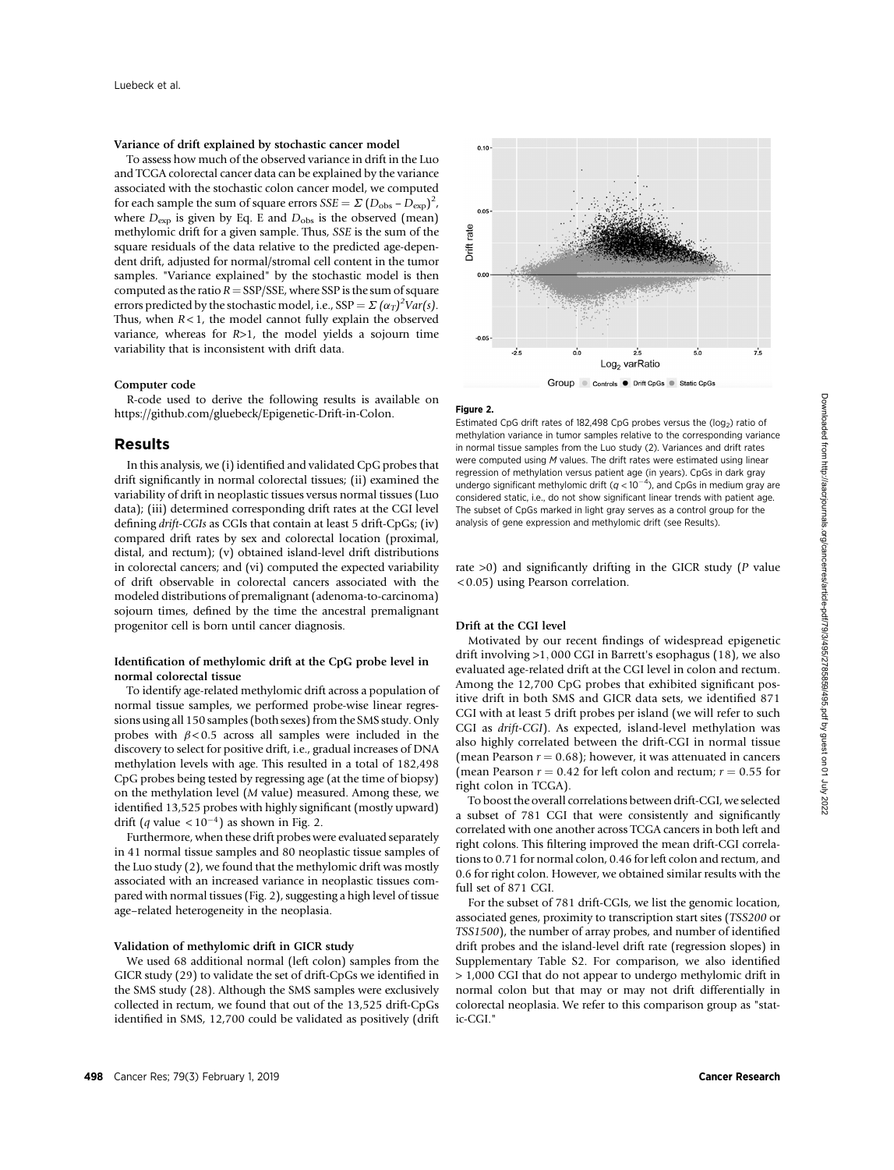# Variance of drift explained by stochastic cancer model

To assess how much of the observed variance in drift in the Luo and TCGA colorectal cancer data can be explained by the variance associated with the stochastic colon cancer model, we computed for each sample the sum of square errors  $SSE = \sum (D_{\text{obs}} - D_{\text{exp}})^2$ , where  $D_{\text{exp}}$  is given by Eq. E and  $D_{\text{obs}}$  is the observed (mean) methylomic drift for a given sample. Thus, SSE is the sum of the square residuals of the data relative to the predicted age-dependent drift, adjusted for normal/stromal cell content in the tumor samples. "Variance explained" by the stochastic model is then computed as the ratio  $R =$  SSP/SSE, where SSP is the sum of square errors predicted by the stochastic model, i.e.,  $SSP = \Sigma (\alpha_T)^2 Var(s)$ . Thus, when  $R < 1$ , the model cannot fully explain the observed variance, whereas for R>1, the model yields a sojourn time variability that is inconsistent with drift data.

#### Computer code

R-code used to derive the following results is available on <https://github.com/gluebeck/Epigenetic-Drift-in-Colon>.

# Results

In this analysis, we (i) identified and validated CpG probes that drift significantly in normal colorectal tissues; (ii) examined the variability of drift in neoplastic tissues versus normal tissues (Luo data); (iii) determined corresponding drift rates at the CGI level defining drift-CGIs as CGIs that contain at least 5 drift-CpGs; (iv) compared drift rates by sex and colorectal location (proximal, distal, and rectum); (v) obtained island-level drift distributions in colorectal cancers; and (vi) computed the expected variability of drift observable in colorectal cancers associated with the modeled distributions of premalignant (adenoma-to-carcinoma) sojourn times, defined by the time the ancestral premalignant progenitor cell is born until cancer diagnosis.

## Identification of methylomic drift at the CpG probe level in normal colorectal tissue

To identify age-related methylomic drift across a population of normal tissue samples, we performed probe-wise linear regressions using all 150 samples (both sexes) from the SMS study. Only probes with  $\beta$  < 0.5 across all samples were included in the discovery to select for positive drift, i.e., gradual increases of DNA methylation levels with age. This resulted in a total of 182,498 CpG probes being tested by regressing age (at the time of biopsy) on the methylation level (M value) measured. Among these, we identified 13,525 probes with highly significant (mostly upward) drift (q value  $< 10^{-4}$ ) as shown in Fig. 2.

Furthermore, when these drift probes were evaluated separately in 41 normal tissue samples and 80 neoplastic tissue samples of the Luo study (2), we found that the methylomic drift was mostly associated with an increased variance in neoplastic tissues compared with normal tissues (Fig. 2), suggesting a high level of tissue age–related heterogeneity in the neoplasia.

# Validation of methylomic drift in GICR study

We used 68 additional normal (left colon) samples from the GICR study (29) to validate the set of drift-CpGs we identified in the SMS study (28). Although the SMS samples were exclusively collected in rectum, we found that out of the 13,525 drift-CpGs identified in SMS, 12,700 could be validated as positively (drift



#### Figure 2.

Estimated CpG drift rates of 182,498 CpG probes versus the  $($ log<sub>2</sub>) ratio of methylation variance in tumor samples relative to the corresponding variance in normal tissue samples from the Luo study (2). Variances and drift rates were computed using M values. The drift rates were estimated using linear regression of methylation versus patient age (in years). CpGs in dark gray undergo significant methylomic drift  $(q < 10^{-4})$ , and CpGs in medium gray are considered static, i.e., do not show significant linear trends with patient age. The subset of CpGs marked in light gray serves as a control group for the analysis of gene expression and methylomic drift (see Results).

rate  $>0$ ) and significantly drifting in the GICR study ( $P$  value < 0:05) using Pearson correlation.

## Drift at the CGI level

Motivated by our recent findings of widespread epigenetic drift involving >1; 000 CGI in Barrett's esophagus (18), we also evaluated age-related drift at the CGI level in colon and rectum. Among the 12,700 CpG probes that exhibited significant positive drift in both SMS and GICR data sets, we identified 871 CGI with at least 5 drift probes per island (we will refer to such CGI as drift-CGI). As expected, island-level methylation was also highly correlated between the drift-CGI in normal tissue (mean Pearson  $r = 0.68$ ); however, it was attenuated in cancers (mean Pearson  $r = 0.42$  for left colon and rectum;  $r = 0.55$  for right colon in TCGA).

To boost the overall correlations between drift-CGI, we selected a subset of 781 CGI that were consistently and significantly correlated with one another across TCGA cancers in both left and right colons. This filtering improved the mean drift-CGI correlations to 0.71 for normal colon, 0.46 for left colon and rectum, and 0.6 for right colon. However, we obtained similar results with the full set of 871 CGI.

For the subset of 781 drift-CGIs, we list the genomic location, associated genes, proximity to transcription start sites (TSS200 or TSS1500), the number of array probes, and number of identified drift probes and the island-level drift rate (regression slopes) in Supplementary Table S2. For comparison, we also identified > 1,000 CGI that do not appear to undergo methylomic drift in normal colon but that may or may not drift differentially in colorectal neoplasia. We refer to this comparison group as "static-CGI."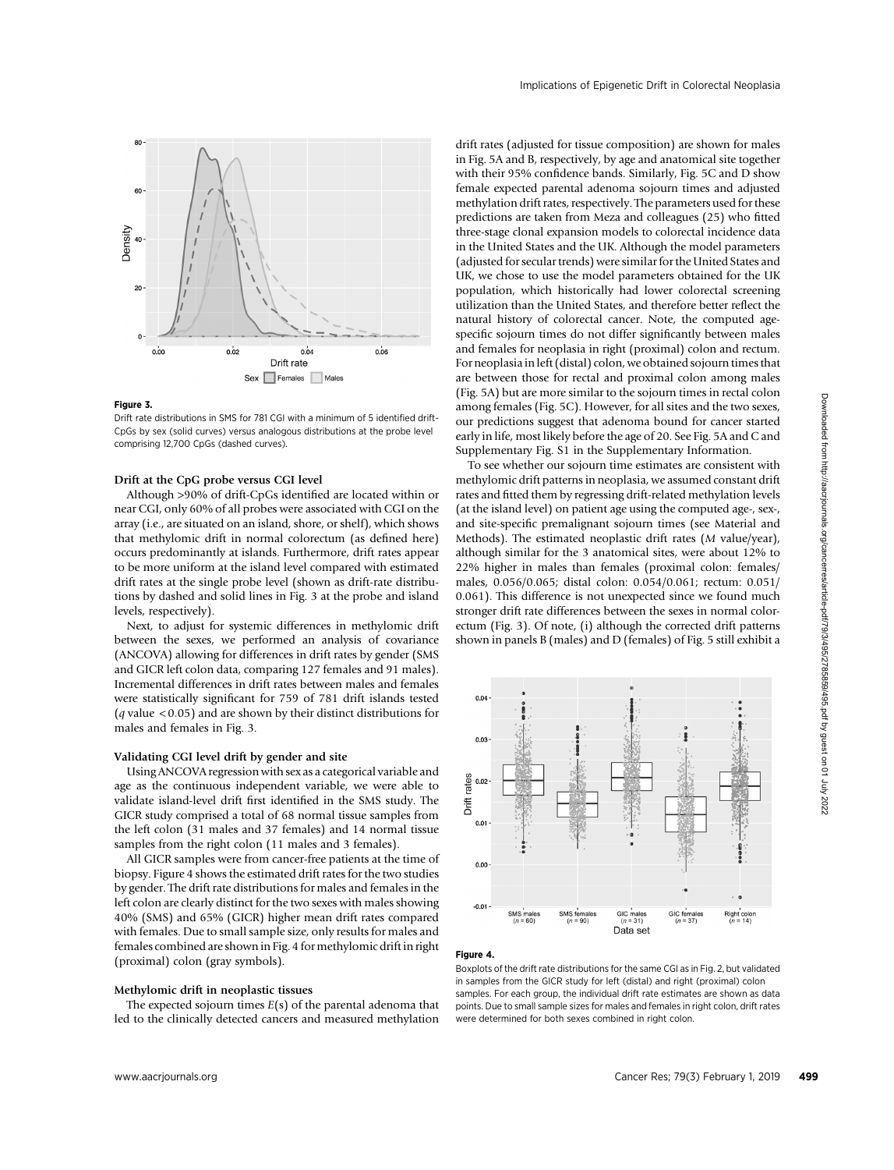

#### Figure 3.

Drift rate distributions in SMS for 781 CGI with a minimum of 5 identified drift-CpGs by sex (solid curves) versus analogous distributions at the probe level comprising 12,700 CpGs (dashed curves).

# Drift at the CpG probe versus CGI level

Although >90% of drift-CpGs identified are located within or near CGI, only 60% of all probes were associated with CGI on the array (i.e., are situated on an island, shore, or shelf), which shows that methylomic drift in normal colorectum (as defined here) occurs predominantly at islands. Furthermore, drift rates appear to be more uniform at the island level compared with estimated drift rates at the single probe level (shown as drift-rate distributions by dashed and solid lines in Fig. 3 at the probe and island levels, respectively).

Next, to adjust for systemic differences in methylomic drift between the sexes, we performed an analysis of covariance (ANCOVA) allowing for differences in drift rates by gender (SMS and GICR left colon data, comparing 127 females and 91 males). Incremental differences in drift rates between males and females were statistically significant for 759 of 781 drift islands tested ( $q$  value  $< 0.05$ ) and are shown by their distinct distributions for males and females in Fig. 3.

# Validating CGI level drift by gender and site

Using ANCOVA regression with sex as a categorical variable and age as the continuous independent variable, we were able to validate island-level drift first identified in the SMS study. The GICR study comprised a total of 68 normal tissue samples from the left colon (31 males and 37 females) and 14 normal tissue samples from the right colon (11 males and 3 females).

All GICR samples were from cancer-free patients at the time of biopsy. Figure 4 shows the estimated drift rates for the two studies by gender. The drift rate distributions for males and females in the left colon are clearly distinct for the two sexes with males showing 40% (SMS) and 65% (GICR) higher mean drift rates compared with females. Due to small sample size, only results for males and females combined are shown in Fig. 4 for methylomic drift in right (proximal) colon (gray symbols).

# Methylomic drift in neoplastic tissues

The expected sojourn times  $E(s)$  of the parental adenoma that led to the clinically detected cancers and measured methylation drift rates (adjusted for tissue composition) are shown for males in Fig. 5A and B, respectively, by age and anatomical site together with their 95% confidence bands. Similarly, Fig. 5C and D show female expected parental adenoma sojourn times and adjusted methylation drift rates, respectively. The parameters used for these predictions are taken from Meza and colleagues (25) who fitted three-stage clonal expansion models to colorectal incidence data in the United States and the UK. Although the model parameters (adjusted for secular trends) were similar for the United States and UK, we chose to use the model parameters obtained for the UK population, which historically had lower colorectal screening utilization than the United States, and therefore better reflect the natural history of colorectal cancer. Note, the computed agespecific sojourn times do not differ significantly between males and females for neoplasia in right (proximal) colon and rectum. For neoplasia in left (distal) colon, we obtained sojourn times that are between those for rectal and proximal colon among males (Fig. 5A) but are more similar to the sojourn times in rectal colon among females (Fig. 5C). However, for all sites and the two sexes, our predictions suggest that adenoma bound for cancer started early in life, most likely before the age of 20. See Fig. 5A and C and Supplementary Fig. S1 in the Supplementary Information.

To see whether our sojourn time estimates are consistent with methylomic drift patterns in neoplasia, we assumed constant drift rates and fitted them by regressing drift-related methylation levels (at the island level) on patient age using the computed age-, sex-, and site-specific premalignant sojourn times (see Material and Methods). The estimated neoplastic drift rates (M value/year), although similar for the 3 anatomical sites, were about 12% to 22% higher in males than females (proximal colon: females/ males, 0.056/0.065; distal colon: 0.054/0.061; rectum: 0.051/ 0.061). This difference is not unexpected since we found much stronger drift rate differences between the sexes in normal colorectum (Fig. 3). Of note, (i) although the corrected drift patterns shown in panels B (males) and D (females) of Fig. 5 still exhibit a



#### Figure 4.

Boxplots of the drift rate distributions for the same CGI as in Fig. 2, but validated in samples from the GICR study for left (distal) and right (proximal) colon samples. For each group, the individual drift rate estimates are shown as data points. Due to small sample sizes for males and females in right colon, drift rates were determined for both sexes combined in right colon.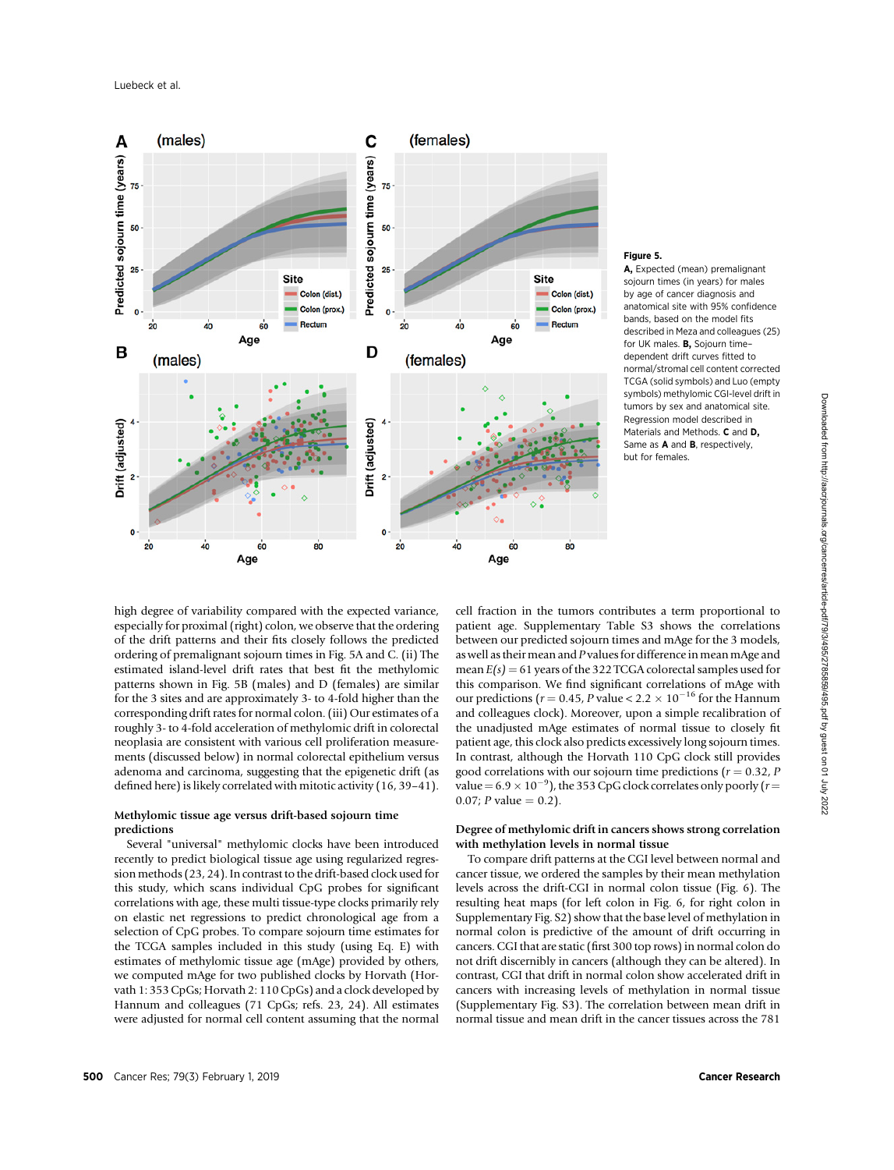

#### Figure 5.

A, Expected (mean) premalignant sojourn times (in years) for males by age of cancer diagnosis and anatomical site with 95% confidence bands, based on the model fits described in Meza and colleagues (25) for UK males. B, Sojourn time– dependent drift curves fitted to normal/stromal cell content corrected TCGA (solid symbols) and Luo (empty symbols) methylomic CGI-level drift in tumors by sex and anatomical site. Regression model described in Materials and Methods. C and D, Same as A and B, respectively, but for females.

high degree of variability compared with the expected variance, especially for proximal (right) colon, we observe that the ordering of the drift patterns and their fits closely follows the predicted ordering of premalignant sojourn times in Fig. 5A and C. (ii) The estimated island-level drift rates that best fit the methylomic patterns shown in Fig. 5B (males) and D (females) are similar for the 3 sites and are approximately 3- to 4-fold higher than the corresponding drift rates for normal colon. (iii) Our estimates of a roughly 3- to 4-fold acceleration of methylomic drift in colorectal neoplasia are consistent with various cell proliferation measurements (discussed below) in normal colorectal epithelium versus adenoma and carcinoma, suggesting that the epigenetic drift (as defined here) is likely correlated with mitotic activity (16, 39–41).

# Methylomic tissue age versus drift-based sojourn time predictions

Several "universal" methylomic clocks have been introduced recently to predict biological tissue age using regularized regression methods (23, 24). In contrast to the drift-based clock used for this study, which scans individual CpG probes for significant correlations with age, these multi tissue-type clocks primarily rely on elastic net regressions to predict chronological age from a selection of CpG probes. To compare sojourn time estimates for the TCGA samples included in this study (using Eq. E) with estimates of methylomic tissue age (mAge) provided by others, we computed mAge for two published clocks by Horvath (Horvath 1: 353 CpGs; Horvath 2: 110 CpGs) and a clock developed by Hannum and colleagues (71 CpGs; refs. 23, 24). All estimates were adjusted for normal cell content assuming that the normal

cell fraction in the tumors contributes a term proportional to patient age. Supplementary Table S3 shows the correlations between our predicted sojourn times and mAge for the 3 models, as well as their mean and P values for difference in mean mAge and mean  $E(s) = 61$  years of the 322 TCGA colorectal samples used for this comparison. We find significant correlations of mAge with our predictions ( $r = 0.45$ , P value <  $2.2 \times 10^{-16}$  for the Hannum and colleagues clock). Moreover, upon a simple recalibration of the unadjusted mAge estimates of normal tissue to closely fit patient age, this clock also predicts excessively long sojourn times. In contrast, although the Horvath 110 CpG clock still provides good correlations with our sojourn time predictions ( $r = 0.32$ , P value =  $6.9 \times 10^{-9}$ ), the 353 CpG clock correlates only poorly ( $r =$ 0.07; *P* value =  $0.2$ ).

# Degree of methylomic drift in cancers shows strong correlation with methylation levels in normal tissue

To compare drift patterns at the CGI level between normal and cancer tissue, we ordered the samples by their mean methylation levels across the drift-CGI in normal colon tissue (Fig. 6). The resulting heat maps (for left colon in Fig. 6, for right colon in Supplementary Fig. S2) show that the base level of methylation in normal colon is predictive of the amount of drift occurring in cancers. CGI that are static (first 300 top rows) in normal colon do not drift discernibly in cancers (although they can be altered). In contrast, CGI that drift in normal colon show accelerated drift in cancers with increasing levels of methylation in normal tissue (Supplementary Fig. S3). The correlation between mean drift in normal tissue and mean drift in the cancer tissues across the 781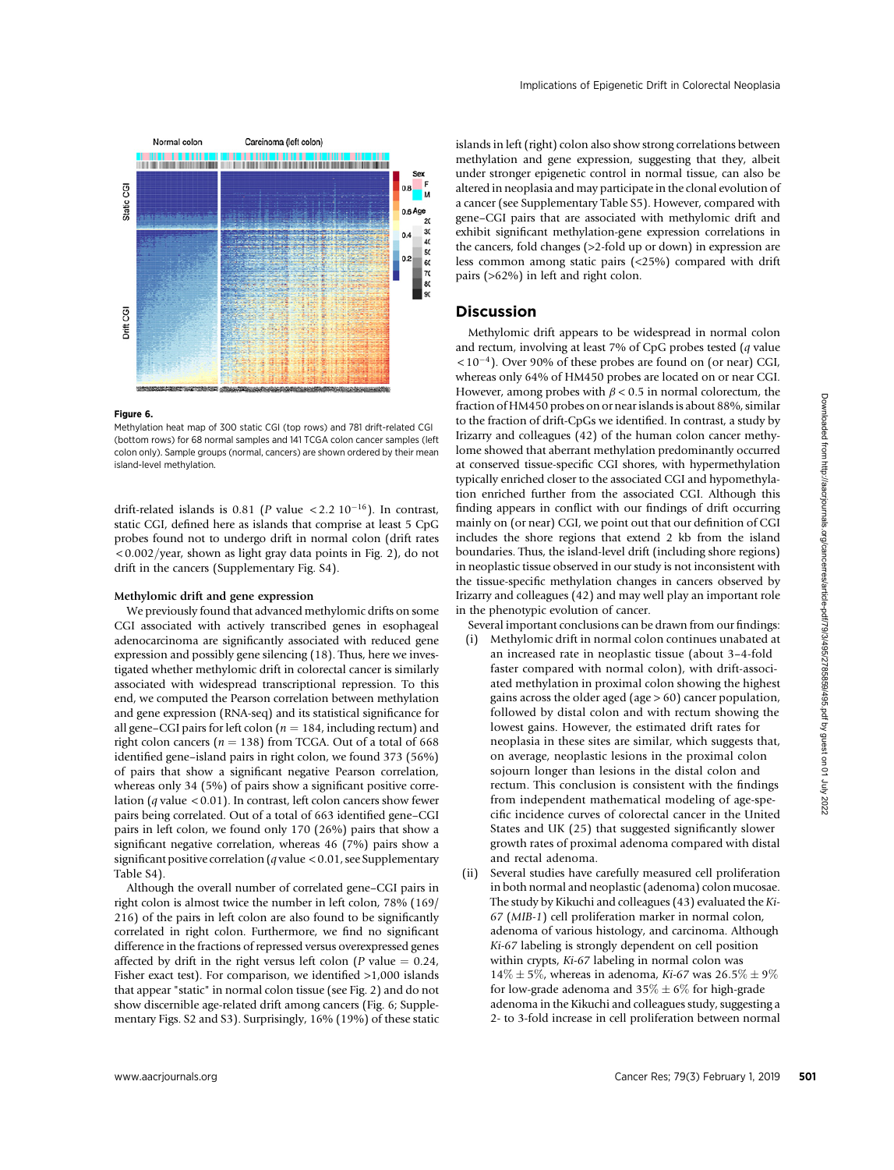

# Figure 6.

Methylation heat map of 300 static CGI (top rows) and 781 drift-related CGI (bottom rows) for 68 normal samples and 141 TCGA colon cancer samples (left colon only). Sample groups (normal, cancers) are shown ordered by their mean island-level methylation.

drift-related islands is 0.81 (P value <2.2 10<sup>-16</sup>). In contrast, static CGI, defined here as islands that comprise at least 5 CpG probes found not to undergo drift in normal colon (drift rates  $\langle 0.002/\text{year}$ , shown as light gray data points in Fig. 2), do not drift in the cancers (Supplementary Fig. S4).

## Methylomic drift and gene expression

We previously found that advanced methylomic drifts on some CGI associated with actively transcribed genes in esophageal adenocarcinoma are significantly associated with reduced gene expression and possibly gene silencing (18). Thus, here we investigated whether methylomic drift in colorectal cancer is similarly associated with widespread transcriptional repression. To this end, we computed the Pearson correlation between methylation and gene expression (RNA-seq) and its statistical significance for all gene–CGI pairs for left colon ( $n = 184$ , including rectum) and right colon cancers ( $n = 138$ ) from TCGA. Out of a total of 668 identified gene–island pairs in right colon, we found 373 (56%) of pairs that show a significant negative Pearson correlation, whereas only 34 (5%) of pairs show a significant positive correlation ( $q$  value < 0.01). In contrast, left colon cancers show fewer pairs being correlated. Out of a total of 663 identified gene–CGI pairs in left colon, we found only 170 (26%) pairs that show a significant negative correlation, whereas 46 (7%) pairs show a significant positive correlation ( $q$  value < 0.01, see Supplementary Table S4).

Although the overall number of correlated gene–CGI pairs in right colon is almost twice the number in left colon, 78% (169/ 216) of the pairs in left colon are also found to be significantly correlated in right colon. Furthermore, we find no significant difference in the fractions of repressed versus overexpressed genes affected by drift in the right versus left colon ( $P$  value = 0.24, Fisher exact test). For comparison, we identified >1,000 islands that appear "static" in normal colon tissue (see Fig. 2) and do not show discernible age-related drift among cancers (Fig. 6; Supplementary Figs. S2 and S3). Surprisingly, 16% (19%) of these static islands in left (right) colon also show strong correlations between methylation and gene expression, suggesting that they, albeit under stronger epigenetic control in normal tissue, can also be altered in neoplasia and may participate in the clonal evolution of a cancer (see Supplementary Table S5). However, compared with gene–CGI pairs that are associated with methylomic drift and exhibit significant methylation-gene expression correlations in the cancers, fold changes (>2-fold up or down) in expression are less common among static pairs (<25%) compared with drift pairs (>62%) in left and right colon.

# Discussion

Methylomic drift appears to be widespread in normal colon and rectum, involving at least 7% of CpG probes tested (q value  $< 10^{-4}$ ). Over 90% of these probes are found on (or near) CGI, whereas only 64% of HM450 probes are located on or near CGI. However, among probes with  $\beta$  < 0.5 in normal colorectum, the fraction of HM450 probes on or near islands is about 88%, similar to the fraction of drift-CpGs we identified. In contrast, a study by Irizarry and colleagues (42) of the human colon cancer methylome showed that aberrant methylation predominantly occurred at conserved tissue-specific CGI shores, with hypermethylation typically enriched closer to the associated CGI and hypomethylation enriched further from the associated CGI. Although this finding appears in conflict with our findings of drift occurring mainly on (or near) CGI, we point out that our definition of CGI includes the shore regions that extend 2 kb from the island boundaries. Thus, the island-level drift (including shore regions) in neoplastic tissue observed in our study is not inconsistent with the tissue-specific methylation changes in cancers observed by Irizarry and colleagues (42) and may well play an important role in the phenotypic evolution of cancer.

Several important conclusions can be drawn from our findings:

- (i) Methylomic drift in normal colon continues unabated at an increased rate in neoplastic tissue (about 3–4-fold faster compared with normal colon), with drift-associated methylation in proximal colon showing the highest gains across the older aged (age > 60) cancer population, followed by distal colon and with rectum showing the lowest gains. However, the estimated drift rates for neoplasia in these sites are similar, which suggests that, on average, neoplastic lesions in the proximal colon sojourn longer than lesions in the distal colon and rectum. This conclusion is consistent with the findings from independent mathematical modeling of age-specific incidence curves of colorectal cancer in the United States and UK (25) that suggested significantly slower growth rates of proximal adenoma compared with distal and rectal adenoma.
- (ii) Several studies have carefully measured cell proliferation in both normal and neoplastic (adenoma) colon mucosae. The study by Kikuchi and colleagues (43) evaluated the Ki-67 (MIB-1) cell proliferation marker in normal colon, adenoma of various histology, and carcinoma. Although Ki-67 labeling is strongly dependent on cell position within crypts, Ki-67 labeling in normal colon was  $14\% \pm 5\%$ , whereas in adenoma, Ki-67 was  $26.5\% \pm 9\%$ for low-grade adenoma and  $35\% \pm 6\%$  for high-grade adenoma in the Kikuchi and colleagues study, suggesting a 2- to 3-fold increase in cell proliferation between normal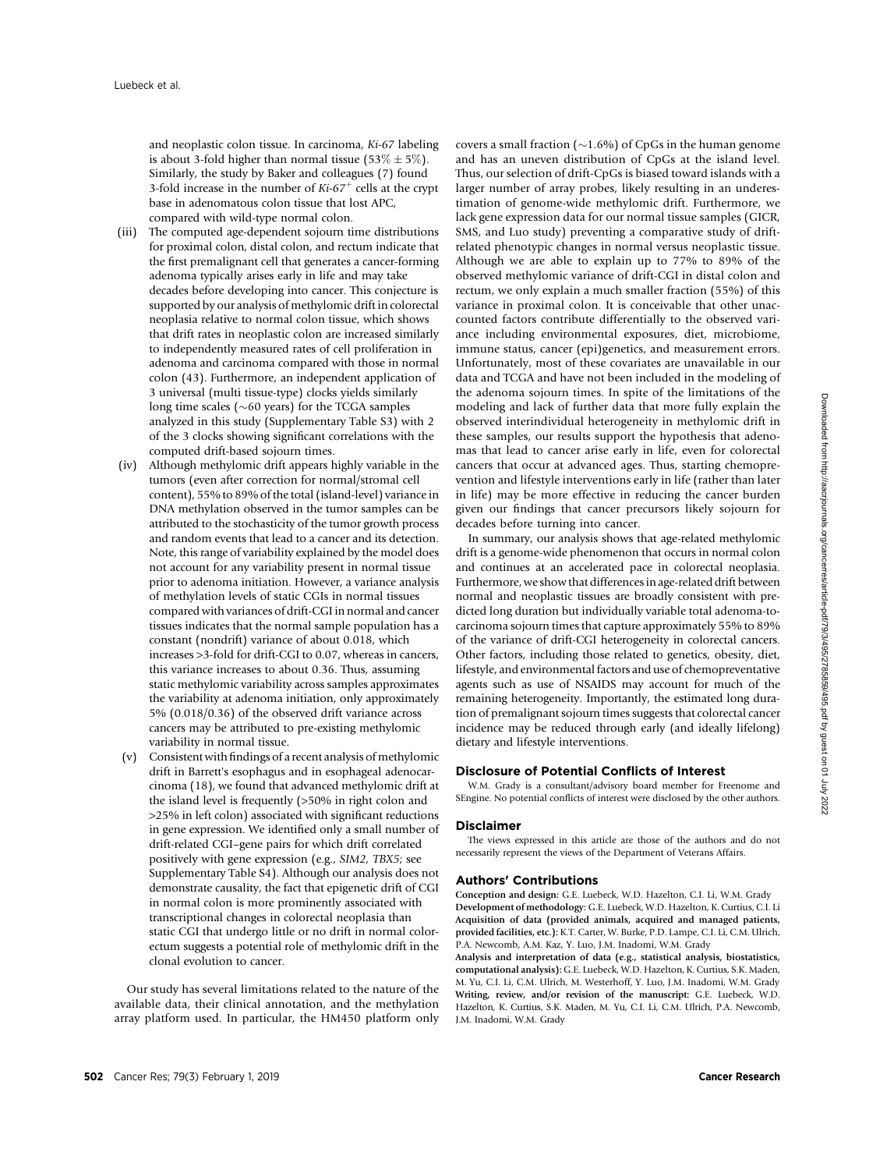and neoplastic colon tissue. In carcinoma, Ki-67 labeling is about 3-fold higher than normal tissue (53%  $\pm$  5%). Similarly, the study by Baker and colleagues (7) found 3-fold increase in the number of  $Ki-67<sup>+</sup>$  cells at the crypt base in adenomatous colon tissue that lost APC, compared with wild-type normal colon.

- (iii) The computed age-dependent sojourn time distributions for proximal colon, distal colon, and rectum indicate that the first premalignant cell that generates a cancer-forming adenoma typically arises early in life and may take decades before developing into cancer. This conjecture is supported by our analysis of methylomic drift in colorectal neoplasia relative to normal colon tissue, which shows that drift rates in neoplastic colon are increased similarly to independently measured rates of cell proliferation in adenoma and carcinoma compared with those in normal colon (43). Furthermore, an independent application of 3 universal (multi tissue-type) clocks yields similarly long time scales ( $\sim$ 60 years) for the TCGA samples analyzed in this study (Supplementary Table S3) with 2 of the 3 clocks showing significant correlations with the computed drift-based sojourn times.
- (iv) Although methylomic drift appears highly variable in the tumors (even after correction for normal/stromal cell content), 55% to 89% of the total (island-level) variance in DNA methylation observed in the tumor samples can be attributed to the stochasticity of the tumor growth process and random events that lead to a cancer and its detection. Note, this range of variability explained by the model does not account for any variability present in normal tissue prior to adenoma initiation. However, a variance analysis of methylation levels of static CGIs in normal tissues compared with variances of drift-CGI in normal and cancer tissues indicates that the normal sample population has a constant (nondrift) variance of about 0.018, which increases >3-fold for drift-CGI to 0.07, whereas in cancers, this variance increases to about 0.36. Thus, assuming static methylomic variability across samples approximates the variability at adenoma initiation, only approximately 5% (0.018/0.36) of the observed drift variance across cancers may be attributed to pre-existing methylomic variability in normal tissue.
- (v) Consistent with findings of a recent analysis of methylomic drift in Barrett's esophagus and in esophageal adenocarcinoma (18), we found that advanced methylomic drift at the island level is frequently (>50% in right colon and >25% in left colon) associated with significant reductions in gene expression. We identified only a small number of drift-related CGI–gene pairs for which drift correlated positively with gene expression (e.g., SIM2, TBX5; see Supplementary Table S4). Although our analysis does not demonstrate causality, the fact that epigenetic drift of CGI in normal colon is more prominently associated with transcriptional changes in colorectal neoplasia than static CGI that undergo little or no drift in normal colorectum suggests a potential role of methylomic drift in the clonal evolution to cancer.

Our study has several limitations related to the nature of the available data, their clinical annotation, and the methylation array platform used. In particular, the HM450 platform only

covers a small fraction  $(\sim 1.6\%)$  of CpGs in the human genome and has an uneven distribution of CpGs at the island level. Thus, our selection of drift-CpGs is biased toward islands with a larger number of array probes, likely resulting in an underestimation of genome-wide methylomic drift. Furthermore, we lack gene expression data for our normal tissue samples (GICR, SMS, and Luo study) preventing a comparative study of driftrelated phenotypic changes in normal versus neoplastic tissue. Although we are able to explain up to 77% to 89% of the observed methylomic variance of drift-CGI in distal colon and rectum, we only explain a much smaller fraction (55%) of this variance in proximal colon. It is conceivable that other unaccounted factors contribute differentially to the observed variance including environmental exposures, diet, microbiome, immune status, cancer (epi)genetics, and measurement errors. Unfortunately, most of these covariates are unavailable in our data and TCGA and have not been included in the modeling of the adenoma sojourn times. In spite of the limitations of the modeling and lack of further data that more fully explain the observed interindividual heterogeneity in methylomic drift in these samples, our results support the hypothesis that adenomas that lead to cancer arise early in life, even for colorectal cancers that occur at advanced ages. Thus, starting chemoprevention and lifestyle interventions early in life (rather than later in life) may be more effective in reducing the cancer burden given our findings that cancer precursors likely sojourn for decades before turning into cancer.

In summary, our analysis shows that age-related methylomic drift is a genome-wide phenomenon that occurs in normal colon and continues at an accelerated pace in colorectal neoplasia. Furthermore, we show that differences in age-related drift between normal and neoplastic tissues are broadly consistent with predicted long duration but individually variable total adenoma-tocarcinoma sojourn times that capture approximately 55% to 89% of the variance of drift-CGI heterogeneity in colorectal cancers. Other factors, including those related to genetics, obesity, diet, lifestyle, and environmental factors and use of chemopreventative agents such as use of NSAIDS may account for much of the remaining heterogeneity. Importantly, the estimated long duration of premalignant sojourn times suggests that colorectal cancer incidence may be reduced through early (and ideally lifelong) dietary and lifestyle interventions.

# Disclosure of Potential Conflicts of Interest

W.M. Grady is a consultant/advisory board member for Freenome and SEngine. No potential conflicts of interest were disclosed by the other authors.

#### Disclaimer

The views expressed in this article are those of the authors and do not necessarily represent the views of the Department of Veterans Affairs.

## Authors' Contributions

Conception and design: G.E. Luebeck, W.D. Hazelton, C.I. Li, W.M. Grady Development of methodology: G.E. Luebeck, W.D. Hazelton, K. Curtius, C.I. Li Acquisition of data (provided animals, acquired and managed patients, provided facilities, etc.): K.T. Carter, W. Burke, P.D. Lampe, C.I. Li, C.M. Ulrich, P.A. Newcomb, A.M. Kaz, Y. Luo, J.M. Inadomi, W.M. Grady

Analysis and interpretation of data (e.g., statistical analysis, biostatistics, computational analysis): G.E. Luebeck, W.D. Hazelton, K. Curtius, S.K. Maden, M. Yu, C.I. Li, C.M. Ulrich, M. Westerhoff, Y. Luo, J.M. Inadomi, W.M. Grady Writing, review, and/or revision of the manuscript: G.E. Luebeck, W.D. Hazelton, K. Curtius, S.K. Maden, M. Yu, C.I. Li, C.M. Ulrich, P.A. Newcomb, J.M. Inadomi, W.M. Grady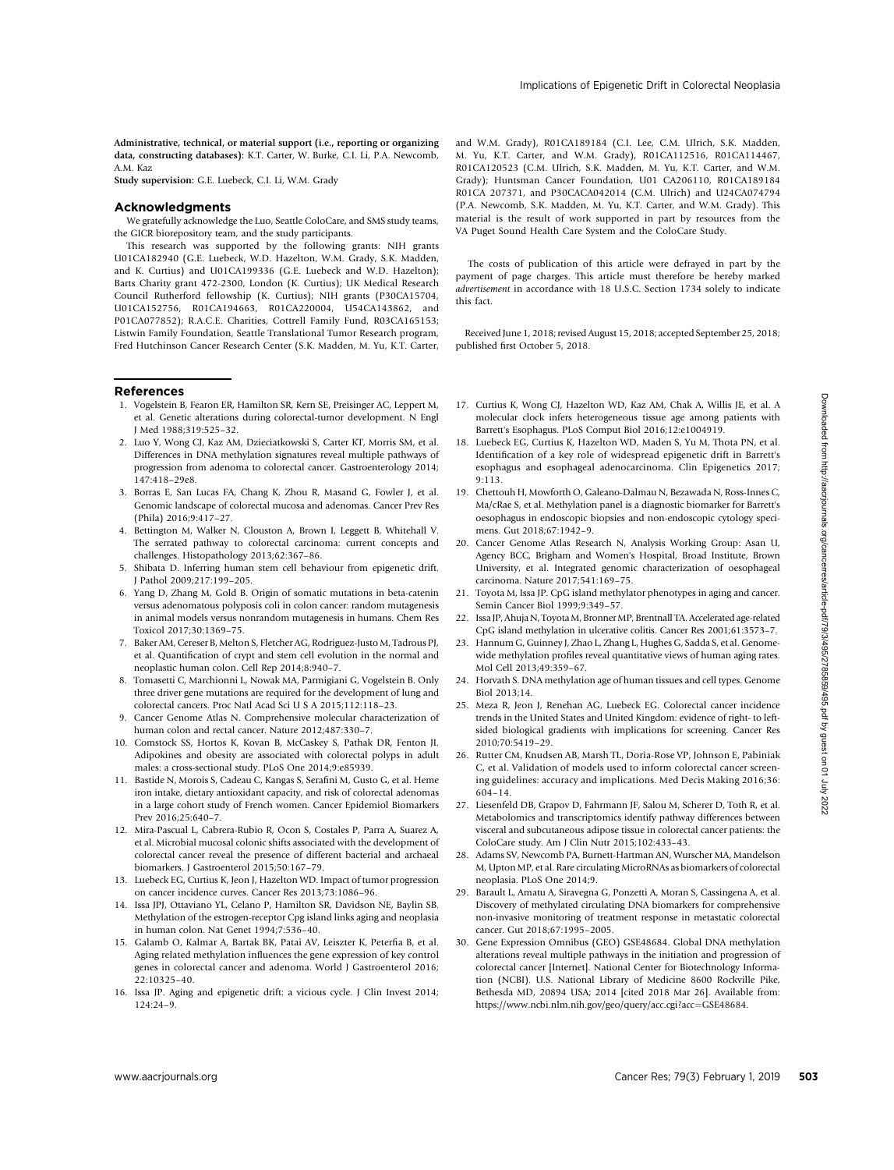Administrative, technical, or material support (i.e., reporting or organizing data, constructing databases): K.T. Carter, W. Burke, C.I. Li, P.A. Newcomb, A.M. Kaz

Study supervision: G.E. Luebeck, C.I. Li, W.M. Grady

#### Acknowledgments

We gratefully acknowledge the Luo, Seattle ColoCare, and SMS study teams, the GICR biorepository team, and the study participants.

This research was supported by the following grants: NIH grants U01CA182940 (G.E. Luebeck, W.D. Hazelton, W.M. Grady, S.K. Madden, and K. Curtius) and U01CA199336 (G.E. Luebeck and W.D. Hazelton); Barts Charity grant 472-2300, London (K. Curtius); UK Medical Research Council Rutherford fellowship (K. Curtius); NIH grants (P30CA15704, U01CA152756, R01CA194663, R01CA220004, U54CA143862, and P01CA077852); R.A.C.E. Charities, Cottrell Family Fund, R03CA165153; Listwin Family Foundation, Seattle Translational Tumor Research program, Fred Hutchinson Cancer Research Center (S.K. Madden, M. Yu, K.T. Carter,

# References

- 1. Vogelstein B, Fearon ER, Hamilton SR, Kern SE, Preisinger AC, Leppert M, et al. Genetic alterations during colorectal-tumor development. N Engl J Med 1988;319:525–32.
- 2. Luo Y, Wong CJ, Kaz AM, Dzieciatkowski S, Carter KT, Morris SM, et al. Differences in DNA methylation signatures reveal multiple pathways of progression from adenoma to colorectal cancer. Gastroenterology 2014; 147:418–29e8.
- 3. Borras E, San Lucas FA, Chang K, Zhou R, Masand G, Fowler J, et al. Genomic landscape of colorectal mucosa and adenomas. Cancer Prev Res (Phila) 2016;9:417–27.
- 4. Bettington M, Walker N, Clouston A, Brown I, Leggett B, Whitehall V. The serrated pathway to colorectal carcinoma: current concepts and challenges. Histopathology 2013;62:367–86.
- 5. Shibata D. Inferring human stem cell behaviour from epigenetic drift. J Pathol 2009;217:199–205.
- 6. Yang D, Zhang M, Gold B. Origin of somatic mutations in beta-catenin versus adenomatous polyposis coli in colon cancer: random mutagenesis in animal models versus nonrandom mutagenesis in humans. Chem Res Toxicol 2017;30:1369–75.
- 7. Baker AM, Cereser B, Melton S, Fletcher AG, Rodriguez-Justo M, Tadrous PJ, et al. Quantification of crypt and stem cell evolution in the normal and neoplastic human colon. Cell Rep 2014;8:940–7.
- 8. Tomasetti C, Marchionni L, Nowak MA, Parmigiani G, Vogelstein B. Only three driver gene mutations are required for the development of lung and colorectal cancers. Proc Natl Acad Sci U S A 2015;112:118–23.
- 9. Cancer Genome Atlas N. Comprehensive molecular characterization of human colon and rectal cancer. Nature 2012;487:330–7.
- 10. Comstock SS, Hortos K, Kovan B, McCaskey S, Pathak DR, Fenton JI. Adipokines and obesity are associated with colorectal polyps in adult males: a cross-sectional study. PLoS One 2014;9:e85939.
- 11. Bastide N, Morois S, Cadeau C, Kangas S, Serafini M, Gusto G, et al. Heme iron intake, dietary antioxidant capacity, and risk of colorectal adenomas in a large cohort study of French women. Cancer Epidemiol Biomarkers Prev 2016;25:640–7.
- 12. Mira-Pascual L, Cabrera-Rubio R, Ocon S, Costales P, Parra A, Suarez A, et al. Microbial mucosal colonic shifts associated with the development of colorectal cancer reveal the presence of different bacterial and archaeal biomarkers. J Gastroenterol 2015;50:167–79.
- 13. Luebeck EG, Curtius K, Jeon J, Hazelton WD. Impact of tumor progression on cancer incidence curves. Cancer Res 2013;73:1086–96.
- 14. Issa JPJ, Ottaviano YL, Celano P, Hamilton SR, Davidson NE, Baylin SB. Methylation of the estrogen-receptor Cpg island links aging and neoplasia in human colon. Nat Genet 1994;7:536–40.
- 15. Galamb O, Kalmar A, Bartak BK, Patai AV, Leiszter K, Peterfia B, et al. Aging related methylation influences the gene expression of key control genes in colorectal cancer and adenoma. World J Gastroenterol 2016; 22:10325–40.
- 16. Issa JP. Aging and epigenetic drift: a vicious cycle. J Clin Invest 2014; 124:24–9.

and W.M. Grady), R01CA189184 (C.I. Lee, C.M. Ulrich, S.K. Madden, M. Yu, K.T. Carter, and W.M. Grady), R01CA112516, R01CA114467, R01CA120523 (C.M. Ulrich, S.K. Madden, M. Yu, K.T. Carter, and W.M. Grady); Huntsman Cancer Foundation, U01 CA206110, R01CA189184 R01CA 207371, and P30CACA042014 (C.M. Ulrich) and U24CA074794 (P.A. Newcomb, S.K. Madden, M. Yu, K.T. Carter, and W.M. Grady). This material is the result of work supported in part by resources from the VA Puget Sound Health Care System and the ColoCare Study.

The costs of publication of this article were defrayed in part by the payment of page charges. This article must therefore be hereby marked advertisement in accordance with 18 U.S.C. Section 1734 solely to indicate this fact.

Received June 1, 2018; revised August 15, 2018; accepted September 25, 2018; published first October 5, 2018.

- 17. Curtius K, Wong CJ, Hazelton WD, Kaz AM, Chak A, Willis JE, et al. A molecular clock infers heterogeneous tissue age among patients with Barrett's Esophagus. PLoS Comput Biol 2016;12:e1004919.
- 18. Luebeck EG, Curtius K, Hazelton WD, Maden S, Yu M, Thota PN, et al. Identification of a key role of widespread epigenetic drift in Barrett's esophagus and esophageal adenocarcinoma. Clin Epigenetics 2017; 9:113.
- 19. Chettouh H, Mowforth O, Galeano-Dalmau N, Bezawada N, Ross-Innes C, Ma/cRae S, et al. Methylation panel is a diagnostic biomarker for Barrett's oesophagus in endoscopic biopsies and non-endoscopic cytology specimens. Gut 2018;67:1942–9.
- 20. Cancer Genome Atlas Research N, Analysis Working Group: Asan U, Agency BCC, Brigham and Women's Hospital, Broad Institute, Brown University, et al. Integrated genomic characterization of oesophageal carcinoma. Nature 2017;541:169–75.
- 21. Toyota M, Issa JP. CpG island methylator phenotypes in aging and cancer. Semin Cancer Biol 1999;9:349–57.
- 22. Issa JP, Ahuja N, Toyota M, Bronner MP, Brentnall TA. Accelerated age-related CpG island methylation in ulcerative colitis. Cancer Res 2001;61:3573–7.
- 23. Hannum G, Guinney J, Zhao L, Zhang L, Hughes G, Sadda S, et al. Genomewide methylation profiles reveal quantitative views of human aging rates. Mol Cell 2013;49:359–67.
- 24. Horvath S. DNA methylation age of human tissues and cell types. Genome Biol 2013;14.
- 25. Meza R, Jeon J, Renehan AG, Luebeck EG. Colorectal cancer incidence trends in the United States and United Kingdom: evidence of right- to leftsided biological gradients with implications for screening. Cancer Res 2010;70:5419–29.
- 26. Rutter CM, Knudsen AB, Marsh TL, Doria-Rose VP, Johnson E, Pabiniak C, et al. Validation of models used to inform colorectal cancer screening guidelines: accuracy and implications. Med Decis Making 2016;36: 604–14.
- 27. Liesenfeld DB, Grapov D, Fahrmann JF, Salou M, Scherer D, Toth R, et al. Metabolomics and transcriptomics identify pathway differences between visceral and subcutaneous adipose tissue in colorectal cancer patients: the ColoCare study. Am J Clin Nutr 2015;102:433–43.
- 28. Adams SV, Newcomb PA, Burnett-Hartman AN, Wurscher MA, Mandelson M, Upton MP, et al. Rare circulating MicroRNAs as biomarkers of colorectal neoplasia. PLoS One 2014;9.
- 29. Barault L, Amatu A, Siravegna G, Ponzetti A, Moran S, Cassingena A, et al. Discovery of methylated circulating DNA biomarkers for comprehensive non-invasive monitoring of treatment response in metastatic colorectal cancer. Gut 2018;67:1995–2005.
- 30. Gene Expression Omnibus (GEO) GSE48684. Global DNA methylation alterations reveal multiple pathways in the initiation and progression of colorectal cancer [Internet]. National Center for Biotechnology Information (NCBI). U.S. National Library of Medicine 8600 Rockville Pike, Bethesda MD, 20894 USA; 2014 [cited 2018 Mar 26]. Available from: [https://www.ncbi.nlm.nih.gov/geo/query/acc.cgi?acc](https://www.ncbi.nlm.nih.gov/geo/query/acc.cgi?acc=GSE48684)=[GSE48684.](https://www.ncbi.nlm.nih.gov/geo/query/acc.cgi?acc=GSE48684)